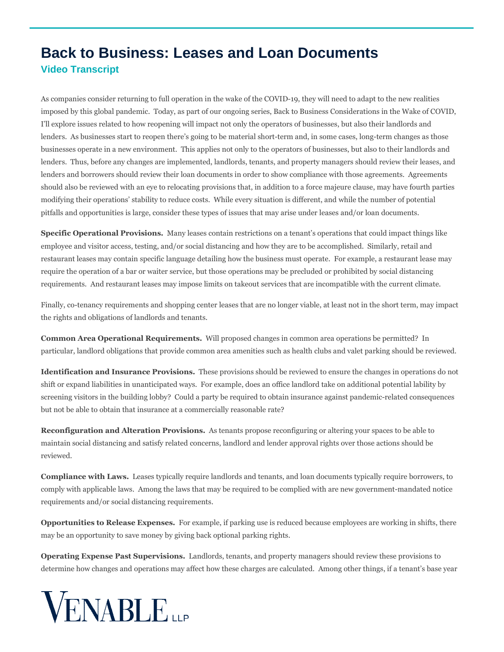## **Back to Business: Leases and Loan Documents Video Transcript**

As companies consider returning to full operation in the wake of the COVID-19, they will need to adapt to the new realities imposed by this global pandemic. Today, as part of our ongoing series, Back to Business Considerations in the Wake of COVID, I'll explore issues related to how reopening will impact not only the operators of businesses, but also their landlords and lenders. As businesses start to reopen there's going to be material short-term and, in some cases, long-term changes as those businesses operate in a new environment. This applies not only to the operators of businesses, but also to their landlords and lenders. Thus, before any changes are implemented, landlords, tenants, and property managers should review their leases, and lenders and borrowers should review their loan documents in order to show compliance with those agreements. Agreements should also be reviewed with an eye to relocating provisions that, in addition to a force majeure clause, may have fourth parties modifying their operations' stability to reduce costs. While every situation is different, and while the number of potential pitfalls and opportunities is large, consider these types of issues that may arise under leases and/or loan documents.

**Specific Operational Provisions.** Many leases contain restrictions on a tenant's operations that could impact things like employee and visitor access, testing, and/or social distancing and how they are to be accomplished. Similarly, retail and restaurant leases may contain specific language detailing how the business must operate. For example, a restaurant lease may require the operation of a bar or waiter service, but those operations may be precluded or prohibited by social distancing requirements. And restaurant leases may impose limits on takeout services that are incompatible with the current climate.

Finally, co-tenancy requirements and shopping center leases that are no longer viable, at least not in the short term, may impact the rights and obligations of landlords and tenants.

**Common Area Operational Requirements.** Will proposed changes in common area operations be permitted? In particular, landlord obligations that provide common area amenities such as health clubs and valet parking should be reviewed.

**Identification and Insurance Provisions.** These provisions should be reviewed to ensure the changes in operations do not shift or expand liabilities in unanticipated ways. For example, does an office landlord take on additional potential lability by screening visitors in the building lobby? Could a party be required to obtain insurance against pandemic-related consequences but not be able to obtain that insurance at a commercially reasonable rate?

**Reconfiguration and Alteration Provisions.** As tenants propose reconfiguring or altering your spaces to be able to maintain social distancing and satisfy related concerns, landlord and lender approval rights over those actions should be reviewed.

**Compliance with Laws.** Leases typically require landlords and tenants, and loan documents typically require borrowers, to comply with applicable laws. Among the laws that may be required to be complied with are new government-mandated notice requirements and/or social distancing requirements.

**Opportunities to Release Expenses.** For example, if parking use is reduced because employees are working in shifts, there may be an opportunity to save money by giving back optional parking rights.

**Operating Expense Past Supervisions.** Landlords, tenants, and property managers should review these provisions to determine how changes and operations may affect how these charges are calculated. Among other things, if a tenant's base year